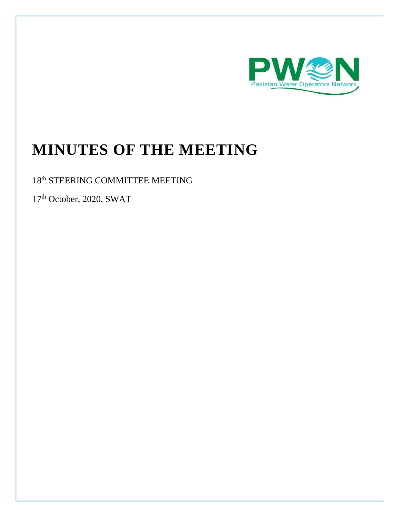

# **MINUTES OF THE MEETING**

18<sup>th</sup> STEERING COMMITTEE MEETING

17<sup>th</sup> October, 2020, SWAT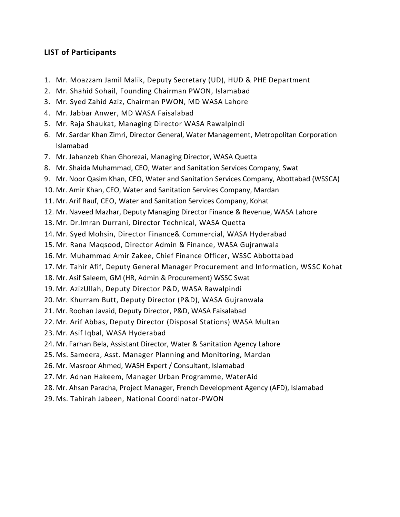### **LIST of Participants**

- 1. Mr. Moazzam Jamil Malik, Deputy Secretary (UD), HUD & PHE Department
- 2. Mr. Shahid Sohail, Founding Chairman PWON, Islamabad
- 3. Mr. Syed Zahid Aziz, Chairman PWON, MD WASA Lahore
- 4. Mr. Jabbar Anwer, MD WASA Faisalabad
- 5. Mr. Raja Shaukat, Managing Director WASA Rawalpindi
- 6. Mr. Sardar Khan Zimri, Director General, Water Management, Metropolitan Corporation Islamabad
- 7. Mr. Jahanzeb Khan Ghorezai, Managing Director, WASA Quetta
- 8. Mr. Shaida Muhammad, CEO, Water and Sanitation Services Company, Swat
- 9. Mr. Noor Qasim Khan, CEO, Water and Sanitation Services Company, Abottabad (WSSCA)
- 10. Mr. Amir Khan, CEO, Water and Sanitation Services Company, Mardan
- 11. Mr. Arif Rauf, CEO, Water and Sanitation Services Company, Kohat
- 12. Mr. Naveed Mazhar, Deputy Managing Director Finance & Revenue, WASA Lahore
- 13. Mr. Dr.Imran Durrani, Director Technical, WASA Quetta
- 14. Mr. Syed Mohsin, Director Finance& Commercial, WASA Hyderabad
- 15. Mr. Rana Maqsood, Director Admin & Finance, WASA Gujranwala
- 16. Mr. Muhammad Amir Zakee, Chief Finance Officer, WSSC Abbottabad
- 17. Mr. Tahir Afif, Deputy General Manager Procurement and Information, WSSC Kohat
- 18. Mr. Asif Saleem, GM (HR, Admin & Procurement) WSSC Swat
- 19. Mr. AzizUllah, Deputy Director P&D, WASA Rawalpindi
- 20. Mr. Khurram Butt, Deputy Director (P&D), WASA Gujranwala
- 21. Mr. Roohan Javaid, Deputy Director, P&D, WASA Faisalabad
- 22. Mr. Arif Abbas, Deputy Director (Disposal Stations) WASA Multan
- 23. Mr. Asif Iqbal, WASA Hyderabad
- 24. Mr. Farhan Bela, Assistant Director, Water & Sanitation Agency Lahore
- 25. Ms. Sameera, Asst. Manager Planning and Monitoring, Mardan
- 26. Mr. Masroor Ahmed, WASH Expert / Consultant, Islamabad
- 27. Mr. Adnan Hakeem, Manager Urban Programme, WaterAid
- 28. Mr. Ahsan Paracha, Project Manager, French Development Agency (AFD), Islamabad
- 29. Ms. Tahirah Jabeen, National Coordinator-PWON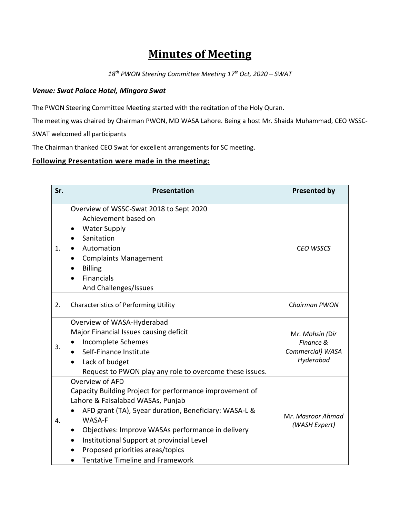## **Minutes of Meeting**

*18 th PWON Steering Committee Meeting 17 th Oct, 2020 – SWAT*

#### *Venue: Swat Palace Hotel, Mingora Swat*

The PWON Steering Committee Meeting started with the recitation of the Holy Quran.

The meeting was chaired by Chairman PWON, MD WASA Lahore. Being a host Mr. Shaida Muhammad, CEO WSSC-

SWAT welcomed all participants

The Chairman thanked CEO Swat for excellent arrangements for SC meeting.

#### **Following Presentation were made in the meeting:**

| Sr. | Presentation                                                                                                                                                                                                                                                                                                                                                                                          | <b>Presented by</b>                                           |
|-----|-------------------------------------------------------------------------------------------------------------------------------------------------------------------------------------------------------------------------------------------------------------------------------------------------------------------------------------------------------------------------------------------------------|---------------------------------------------------------------|
| 1.  | Overview of WSSC-Swat 2018 to Sept 2020<br>Achievement based on<br><b>Water Supply</b><br>Sanitation<br>$\bullet$<br>Automation<br>$\bullet$<br><b>Complaints Management</b><br>٠<br><b>Billing</b><br><b>Financials</b><br>And Challenges/Issues                                                                                                                                                     | <b>CEO WSSCS</b>                                              |
| 2.  | <b>Characteristics of Performing Utility</b>                                                                                                                                                                                                                                                                                                                                                          | Chairman PWON                                                 |
| 3.  | Overview of WASA-Hyderabad<br>Major Financial Issues causing deficit<br>Incomplete Schemes<br>Self-Finance Institute<br>$\bullet$<br>Lack of budget<br>Request to PWON play any role to overcome these issues.                                                                                                                                                                                        | Mr. Mohsin (Dir<br>Finance &<br>Commercial) WASA<br>Hyderabad |
| 4.  | Overview of AFD<br>Capacity Building Project for performance improvement of<br>Lahore & Faisalabad WASAs, Punjab<br>AFD grant (TA), 5year duration, Beneficiary: WASA-L &<br><b>WASA-F</b><br>Objectives: Improve WASAs performance in delivery<br>$\bullet$<br>Institutional Support at provincial Level<br>$\bullet$<br>Proposed priorities areas/topics<br><b>Tentative Timeline and Framework</b> | Mr. Masroor Ahmad<br>(WASH Expert)                            |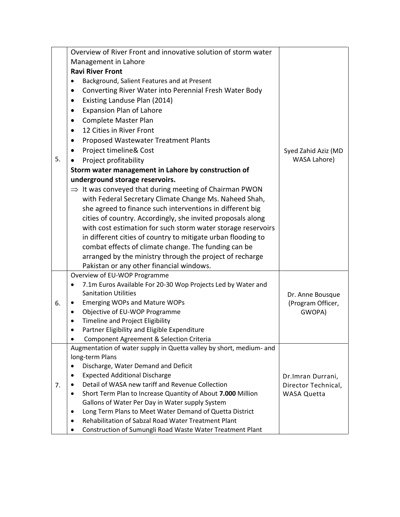|    | Overview of River Front and innovative solution of storm water                                                  |                     |
|----|-----------------------------------------------------------------------------------------------------------------|---------------------|
|    | Management in Lahore                                                                                            |                     |
|    | <b>Ravi River Front</b>                                                                                         |                     |
|    | Background, Salient Features and at Present                                                                     |                     |
|    | Converting River Water into Perennial Fresh Water Body                                                          |                     |
|    | Existing Landuse Plan (2014)                                                                                    |                     |
|    | <b>Expansion Plan of Lahore</b>                                                                                 |                     |
|    | Complete Master Plan<br>$\bullet$                                                                               |                     |
|    | 12 Cities in River Front<br>$\bullet$                                                                           |                     |
|    | Proposed Wastewater Treatment Plants                                                                            |                     |
|    | Project timeline& Cost                                                                                          | Syed Zahid Aziz (MD |
| 5. | Project profitability                                                                                           | <b>WASA Lahore)</b> |
|    | Storm water management in Lahore by construction of                                                             |                     |
|    | underground storage reservoirs.                                                                                 |                     |
|    | $\Rightarrow$ It was conveyed that during meeting of Chairman PWON                                              |                     |
|    | with Federal Secretary Climate Change Ms. Naheed Shah,                                                          |                     |
|    | she agreed to finance such interventions in different big                                                       |                     |
|    | cities of country. Accordingly, she invited proposals along                                                     |                     |
|    | with cost estimation for such storm water storage reservoirs                                                    |                     |
|    | in different cities of country to mitigate urban flooding to                                                    |                     |
|    | combat effects of climate change. The funding can be                                                            |                     |
|    | arranged by the ministry through the project of recharge                                                        |                     |
|    | Pakistan or any other financial windows.                                                                        |                     |
|    | Overview of EU-WOP Programme                                                                                    |                     |
|    | 7.1m Euros Available For 20-30 Wop Projects Led by Water and                                                    |                     |
|    | <b>Sanitation Utilities</b>                                                                                     | Dr. Anne Bousque    |
| 6. | <b>Emerging WOPs and Mature WOPs</b>                                                                            | (Program Officer,   |
|    | Objective of EU-WOP Programme                                                                                   | GWOPA)              |
|    | Timeline and Project Eligibility                                                                                |                     |
|    | Partner Eligibility and Eligible Expenditure<br>$\bullet$                                                       |                     |
|    | Component Agreement & Selection Criteria<br>Augmentation of water supply in Quetta valley by short, medium- and |                     |
|    | long-term Plans                                                                                                 |                     |
|    | Discharge, Water Demand and Deficit<br>$\bullet$                                                                |                     |
|    | <b>Expected Additional Discharge</b>                                                                            | Dr.Imran Durrani,   |
| 7. | Detail of WASA new tariff and Revenue Collection                                                                | Director Technical, |
|    | Short Term Plan to Increase Quantity of About 7.000 Million                                                     | <b>WASA Quetta</b>  |
|    | Gallons of Water Per Day in Water supply System                                                                 |                     |
|    | Long Term Plans to Meet Water Demand of Quetta District<br>$\bullet$                                            |                     |
|    | Rehabilitation of Sabzal Road Water Treatment Plant<br>$\bullet$                                                |                     |
|    | Construction of Sumungli Road Waste Water Treatment Plant                                                       |                     |